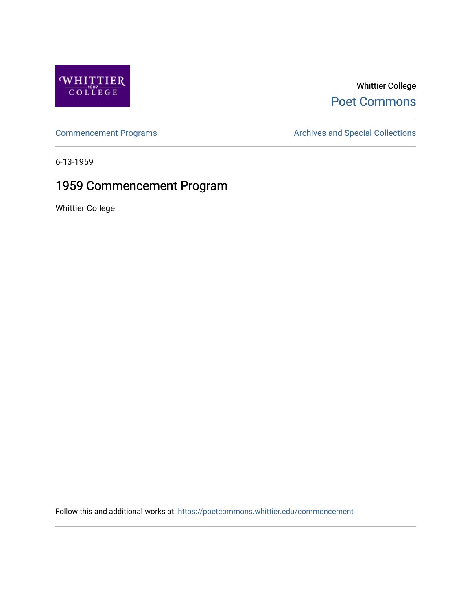

## Whittier College [Poet Commons](https://poetcommons.whittier.edu/)

[Commencement Programs](https://poetcommons.whittier.edu/commencement) **Archives and Special Collections** Archives and Special Collections

6-13-1959

## 1959 Commencement Program

Whittier College

Follow this and additional works at: [https://poetcommons.whittier.edu/commencement](https://poetcommons.whittier.edu/commencement?utm_source=poetcommons.whittier.edu%2Fcommencement%2F50&utm_medium=PDF&utm_campaign=PDFCoverPages)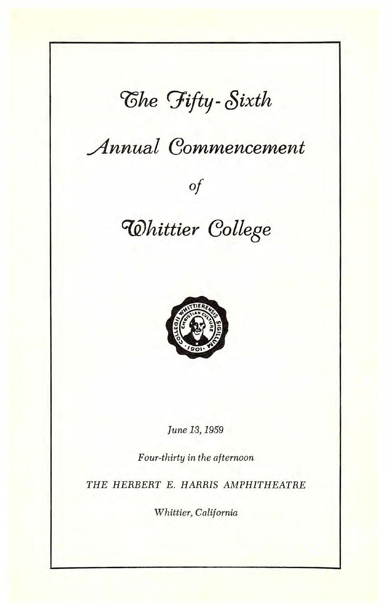# The Fifty-Sixth

# Annual Commencement

Of

## Whittier College



June 13, 1959

Four-thirty in the afternoon

THE HERBERT E. HARRIS AMPHITHEATRE

Whittier, California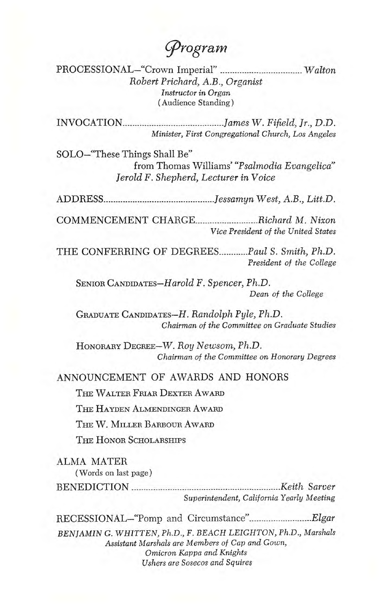Corporam

PROCESSIONAL-"Crown Imperial" ................................ Walton Robert Prichard, A.B., Organist Instructor in Organ (Audience Standing)

INVOCATION James W. Fifield, Jr., D.D. Minister, First Congregational Church, Los Angeles

SOLO—"These Things Shall Be" from Thomas Williams' "Psalmodia Evangelica" Jerold F. Shepherd, Lecturer in Voice

ADDRESS Jessamyn West, A.B., Litt.D.

COMMENCEMENT CHARGE ..................................Richard M. Nixon Vice President of the United States

THE CONFERRING OF DEGREES...........Paul S. Smith, Ph.D. President of the College

SENIOR CANDIDATES—Harold F. Spencer, Ph.D. Dean of the College

GRADUATE CANDIDATES—H. Randolph Pyle, Ph.D. Chairman of the Committee on Graduate Studies

HONORARY DEGREE—W. Roy Newsom, Ph.D. Chairman of the Committee on Honorary Degrees

ANNOUNCEMENT OF AWARDS AND HONORS

THE WALTER FRIAR DEXTER AWARD

THE HAYDEN ALMENDINGER AWARD

THE W. MILLER BARBOUR AWARD

THE HONOR SCHOLARSHIPS

ALMA MATER (Words on last page)

BENEDICTION Keith Sarver Superintendent, California Yearly Meeting

RECESSIONAL–"Pomp and Circumstance".............................Elgar BENJAMIN G. WHITTEN, Ph.D., F. BEACH LEIGHTON, Ph.D., Marshals Assistant Marshals are Members of Cap and Gown, Omicron Kappa and Knights Ushers are Sosecos and Squires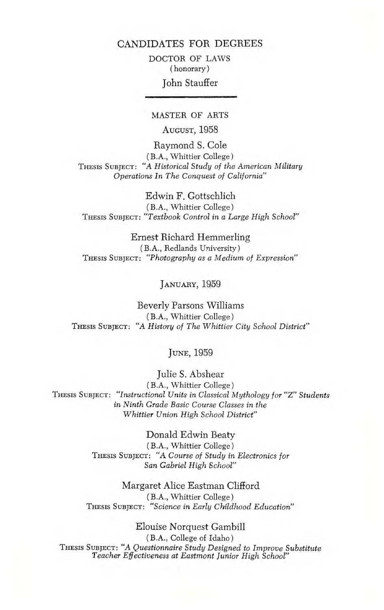DOCTOR OF LAWS (honorary)

### John Stauffer

### MASTER OF ARTS

AUGUST, 1958

Raymond S. Cole (B.A., Whittier College) THESIS SUBJECT: "A Historical Study of the American Military Operations In The Conquest of California"

Edwin F. Gottschlich (BA., Whittier College) THESIS SUBJECT: "Textbook Control in a Large High School"

Ernest Richard Hemmerling (B.A., Redlands University) THESIS SUBJECT: "Photography as a Medium of Expression"

JANUARY, 1959

Beverly Parsons Williams (B.A., Whittier College) THESIS SUBJECT: "A History of The Whittier City School District"

#### JUNE, 1959

Julie S. Abshear (BA., Whittier College) THESIS SUBJECT: "Instructional Units in Classical Mythology for "Z" Students in Ninth Grade Basic Course Classes in the Whittier Union High School District"

> Donald Edwin Beaty (B.A., Whittier College) THESIS SUBJECT: "A Course of Study in Electronics for San Gabriel High School"

Margaret Alice Eastman Clifford (BA., Whittier College) THESIS SUBJECT: "Science in Early Childhood Education"

Eloulse Norquest Gambill (B.A., College of Idaho) THESIS SUBJECT: "A Questionnaire Study Designed to Improve Substitute Teacher Effectiveness at Eastmont Junior High School"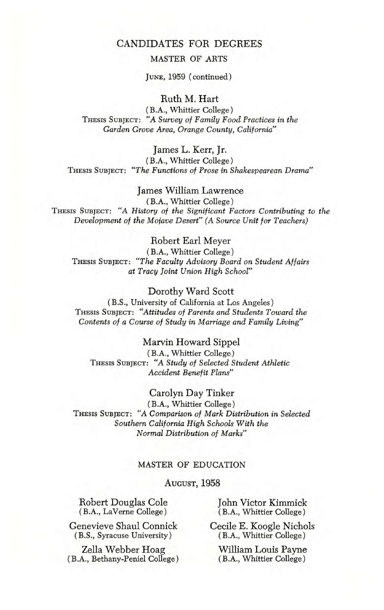#### MASTER OF ARTS

JUNE, 1959 (continued)

Ruth M. Hart

(B.A., Whittier College) THESIS SUBJECT: "A Survey of Family Food Practices in the Garden Grove Area, Orange County, California"

James L. Kerr, Jr.

(B.A., Whittier College) THESIS SUBJECT: "The Functions of Prose in Shakespearean Drama"

James William Lawrence (B.A., Whittier College) THESIS SUBJECT: "A History of the Significant Factors Contributing to the Development of the Mojave Desert" (A Source Unit for Teachers)

#### Robert Earl Meyer

(B.A., Whittier College) THESIS SUBJECT: "The Faculty Advisory Board on Student Affairs at Tracy Joint Union High School"

#### Dorothy Ward Scott

(B.S., University of California at Los Angeles) THESIS SUBJECT: "Attitudes of Parents and Students Toward the Contents of a Course of Study in Marriage and Family Living"

#### Marvin Howard Sippel

(B.A., Whittier College THESIS SUBJECT: "A Study of Selected Student Athletic Accident Benefit Plans"

#### Carolyn Day Tinker

(B.A., Whittier College) THESIS SUBJECT: "A Comparison of Mark Distribution in Selected Southern California High Schools With the Normal Distribution of Marks"

#### MASTER OF EDUCATION

#### AUGUST, 1958

Robert Douglas Cole (BA., LaVerne College)

Genevieve Shaul Connick (B.S., Syracuse University)

Zella Webber Hoag (B.A., Bethany-Peniel College)

John Victor Kimmick (B.A., Whittier College)

Cecile E. Koogle Nichols (B.A., Whittier College)

William Louis Payne (B.A., Whittier College)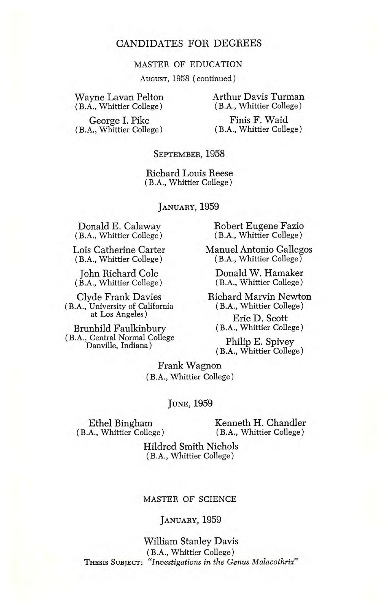#### MASTER OF EDUCATION

AUGUST, 1958 (continued)

Wayne Lavan Pelton (BA., Whittier College)

Arthur Davis Turman (B.A., Whittier College)

George I. Pike (BA., Whittier College)

Finis F. Waid (B.A., Whittier College)

#### SEPTEMBER, 1958

Richard Louis Reese (BA., Whittier College)

JANUARY, 1959

Donald E. Calaway (B.A., Whittier College)

Lois Catherine Carter (BA,, Whittier College)

John Richard Cole (B.A., Whittier College)

Clyde Frank Davies (B.A., University of California at Los Angeles)

Brunhild Faulkinbury (B.A,, Central Normal College Danville, Indiana)

Robert Eugene Fazio (BA., Whittier College)

Manuel Antonio Gallegos (B.A., Whittier College)

Donald W. Hamaker (BA., Whittier College)

Richard Marvin Newton (B.A., Whittier College)

Eric D. Scott (BA., Whittier College)

Philip E. Spivey (B.A., Whittier College)

Frank Wagnon (BA., Whittier College)

JUNE, 1959

(B.A., Whittier College) (B.A., Whittier College)

Ethel Bingham Kenneth H. Chandler<br>A., Whittier College) (B.A., Whittier College)

Hildred Smith Nichols (BA,, Whittier College)

#### MASTER OF SCIENCE

#### JANUARY, 1959

William Stanley Davis (BA., Whittier College) THESIS SUBJECT: "Investigations in the Genus Malacothrix"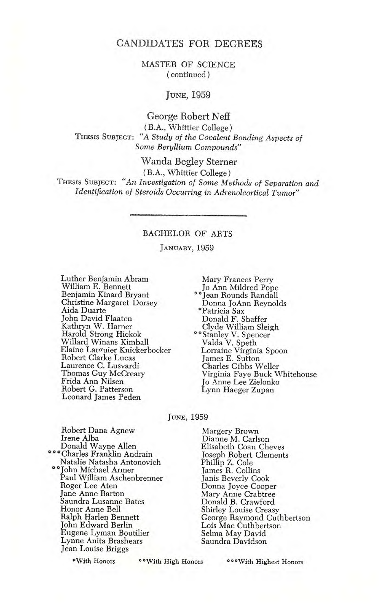MASTER OF SCIENCE (continued)

#### JUNE, 1959

#### George Robert Neff (B.A., Whittier College) THESIS SUBJECT: "A Study of the Covalent Bonding Aspects of Some Beryllium Compounds"

Wanda Begley Sterner (B.A., Whittier College) THESIS SUBJECT: "An Investigation of Some Methods of Separation and Identification of Steroids Occurring in Adrenolcortical Tumor"

#### BACHELOR OF ARTS

JANUARY, 1959

Luther Benjamin Abram William E. Bennett Benjamin Kinard Bryant Christine Margaret Dorsey Aida Duarte John David Flaaten Kathryn W. Harner<br>Harold Strong Hickok Willard Winans Kimball Elaine Larcuier Knickerbocker Robert Clarke Lucas Laurence C. Lusvardi Thomas Guy McCreary Frida Ann Nilsen Robert G. Patterson Leonard James Peden

Mary Frances Perry Jo Ann Mildred Pope \*\*jean Rounds Randall Donna JoAnn Reynolds \*Patricia Sax Donald F. Shaffer Clyde William Sleigh °\*Stanley V. Spencer Valda V. Speth Lorraine Virginia Spoon James E. Sutton Charles Gibbs Weller Virginia Faye Buck Whitehouse Jo Anne Lee Zielonko Lynn Haeger Zupan

JUNE, 1959

Robert Dana Agnew Irene Alba Donald Wayne Allen \*\*\*Charles Franklin Andrain Natalie Natasha Antonovich \*\*John Michael Armer Paul William Aschenbrenner Roger Lee Aten Jane Anne Barton Saundra Lusanne Bates Honor Anne Bell Ralph Harlen Bennett John Edward Berlin Eugene Lyman Boutilier Lynne Anita Brashears Jean Louise Briggs

Margery Brown Dianne M. Carlson Elisabeth Coan Cheves Joseph Robert Clements Phillip Z. Cole James R. Collins Janis Beverly Cook Donna Joyce Cooper Mary Anne Crabtree Donald B. Crawford Shirley Louise Creasy George Raymond Cuthbertson Lois Mae Cuthbertson Selma May David Saundra Davidson

QWith Honors "With High Honors \*\*\*With Highest Honors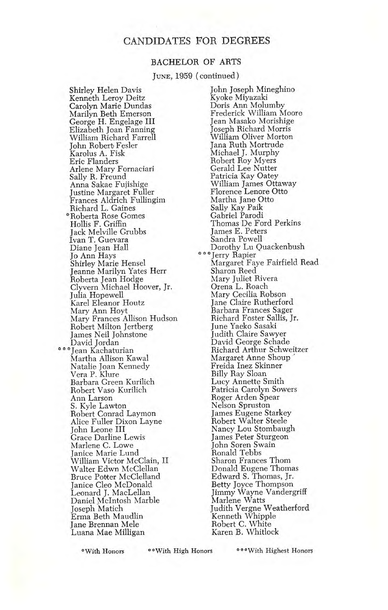#### BACHELOR OF ARTS

Jima, 1959 (continued)

Shirley Helen Davis Kenneth Leroy Deitz Carolyn Marie Dundas Marilyn Beth Emerson George H. Engelage III Elizabeth Joan Fanning William Richard Farrell John Robert) Fesler Karolus A. Fisk Eric Flanders Arlene Mary Fornaciari Sally R. Freund Anna Sakae Fujishige Justine Margaret Fuller Frances Aldrich Fullingim Richard L. Gaines \*Roberta Rose Comes Hollis F. Griffin Jack Melville Grubbs Ivan T. Guevara Diane Jean Hall Jo Ann Hays Shirley Marie Hensel Jeanne Marilyn Yates Herr Roberta Jean Hodge Clyvern Michael Hoover, Jr. Julia Hopewell Karel Eleanor Houtz Mary Ann Hoyt Mary Frances Allison Hudson Robert Milton Jertberg James Neil Johnstone \* Jean Kachaturian David Jordan Martha Allison Kawal Natalie Joan Kennedy Vera P. Klure Barbara Green Kurilich Robert Vaso Kurilich Ann Larson S. Kyle Lawton Robert Conrad Laymon Alice Fuller Dixon Layne John Leone III Grace Darline Lewis Marlene C. Lowe Janice Marie Lund William Victor McClain, II Walter Edwn McClellan Bruce Potter McClelland Janice Cleo McDonald Leonard J. MacLellan Daniel McIntosh Marble Joseph Matich Erma Beth Maudlin Jane Brennan Mele Luana Mae Milligan

John Joseph Mineghino Kyoke Miyazaki Doris Ann Molumby Frederick William Moore Jean Masako Morishige Joseph Richard Morris William Oliver Morton Jana Ruth Mortrude Michael I. Murphy Robert Roy Myers Gerald Lee Nutter Patricia Kay Oatey William James Ottaway Florence Lenore Otto Martha Jane Otto Sally Kay Paik Gabriel Parodi Thomas De Ford Perkins James E. Peters Sandra Powell Dorothy Lu Quackenbush \*\*\*Jerry Rapier Margaret Faye Fairfield Read Sharon Reed Mary Juliet Rivera Orena L. Roach Mary Cecilia Robson Jane Claire Rutherford Barbara Frances Sager Richard Foster Sallis, Jr. June Yaeko Sasaki Judith Claire Sawyer David George Schade Richard Arthur Schweitzer Margaret Anne Shoup Freida Inez Skinner Billy Ray Sloan Lucy Annette Smith Patricia Carolyn Sowers Roger Arden Spear Nelson Spruston James Eugene Starkey Robert Walter Steele Nancy Lou Stombaugh James Peter Sturgeon John Soren Swain Ronald Tebbs Sharon Frances Thom Donald Eugene Thomas Edward S. Thomas, Jr. Betty Joyce Thompson Jimmy Wayne Vandergriff Marlene Watts Judith Vergne Weatherford Kenneth Whipple Robert C. White Karen B. Whitlock

\*With Honors With High Honors °°°With Highest Honors